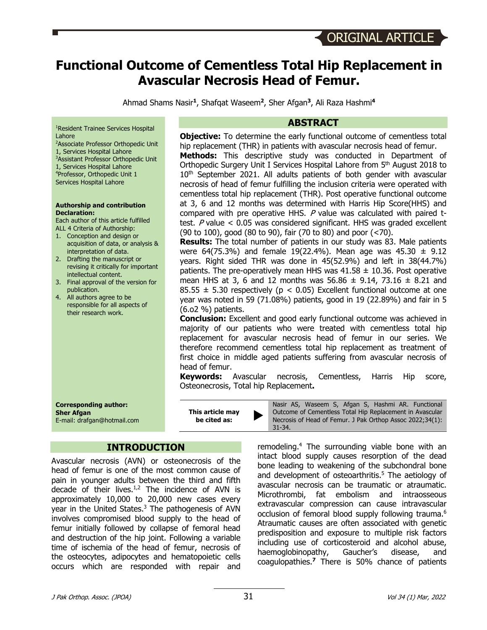# **Functional Outcome of Cementless Total Hip Replacement in Avascular Necrosis Head of Femur.**

Ahmad Shams Nasir**<sup>1</sup>**, Shafqat Waseem**<sup>2</sup>**, Sher Afgan**<sup>3</sup>**, Ali Raza Hashmi**<sup>4</sup>**

1 Resident Trainee Services Hospital Lahore

- 2 Associate Professor Orthopedic Unit
- 1, Services Hospital Lahore 3 Assistant Professor Orthopedic Unit
- 1, Services Hospital Lahore 4 Professor, Orthopedic Unit 1 Services Hospital Lahore

#### **Authorship and contribution Declaration:**

Each author of this article fulfilled ALL 4 Criteria of Authorship:

- 1. Conception and design or acquisition of data, or analysis & interpretation of data.
- 2. Drafting the manuscript or revising it critically for important intellectual content.
- 3. Final approval of the version for publication.
- 4. All authors agree to be responsible for all aspects of their research work.

**Corresponding author: Sher Afgan** E-mail: drafgan@hotmail.com

# **INTRODUCTION**

Avascular necrosis (AVN) or osteonecrosis of the head of femur is one of the most common cause of pain in younger adults between the third and fifth decade of their lives. $1/2$  The incidence of AVN is approximately 10,000 to 20,000 new cases every year in the United States. $3$  The pathogenesis of AVN involves compromised blood supply to the head of femur initially followed by collapse of femoral head and destruction of the hip joint. Following a variable time of ischemia of the head of femur, necrosis of the osteocytes, adipocytes and hematopoietic cells occurs which are responded with repair and

### **ABSTRACT**

**Objective:** To determine the early functional outcome of cementless total hip replacement (THR) in patients with avascular necrosis head of femur.

**Methods:** This descriptive study was conducted in Department of Orthopedic Surgery Unit I Services Hospital Lahore from 5<sup>th</sup> August 2018 to 10<sup>th</sup> September 2021. All adults patients of both gender with avascular necrosis of head of femur fulfilling the inclusion criteria were operated with cementless total hip replacement (THR). Post operative functional outcome at 3, 6 and 12 months was determined with Harris Hip Score(HHS) and compared with pre operative HHS.  $P$  value was calculated with paired ttest.  $P$  value  $<$  0.05 was considered significant. HHS was graded excellent (90 to 100), good (80 to 90), fair (70 to 80) and poor (<70).

**Results:** The total number of patients in our study was 83. Male patients were  $64(75.3%)$  and female 19(22.4%). Mean age was 45.30  $\pm$  9.12 years. Right sided THR was done in 45(52.9%) and left in 38(44.7%) patients. The pre-operatively mean HHS was  $41.58 \pm 10.36$ . Post operative mean HHS at 3, 6 and 12 months was  $56.86 \pm 9.14$ , 73.16  $\pm$  8.21 and 85.55  $\pm$  5.30 respectively (p < 0.05) Excellent functional outcome at one year was noted in 59 (71.08%) patients, good in 19 (22.89%) and fair in 5 (6.o2 %) patients.

**Conclusion:** Excellent and good early functional outcome was achieved in majority of our patients who were treated with cementless total hip replacement for avascular necrosis head of femur in our series. We therefore recommend cementless total hip replacement as treatment of first choice in middle aged patients suffering from avascular necrosis of head of femur.

**Keywords:** Avascular necrosis, Cementless, Harris Hip score, Osteonecrosis, Total hip Replacement**.**

> Nasir AS, Waseem S, Afgan S, Hashmi AR. Functional Outcome of Cementless Total Hip Replacement in Avascular Necrosis of Head of Femur. J Pak Orthop Assoc 2022;34(1): 31-34.

remodeling.<sup>4</sup> The surrounding viable bone with an intact blood supply causes resorption of the dead bone leading to weakening of the subchondral bone and development of osteoarthritis. <sup>5</sup> The aetiology of avascular necrosis can be traumatic or atraumatic. Microthrombi, fat embolism and intraosseous extravascular compression can cause intravascular occlusion of femoral blood supply following trauma. 6 Atraumatic causes are often associated with genetic predisposition and exposure to multiple risk factors including use of corticosteroid and alcohol abuse, haemoglobinopathy, Gaucher's disease, and coagulopathies.**<sup>7</sup>** There is 50% chance of patients

**This article may be cited as:**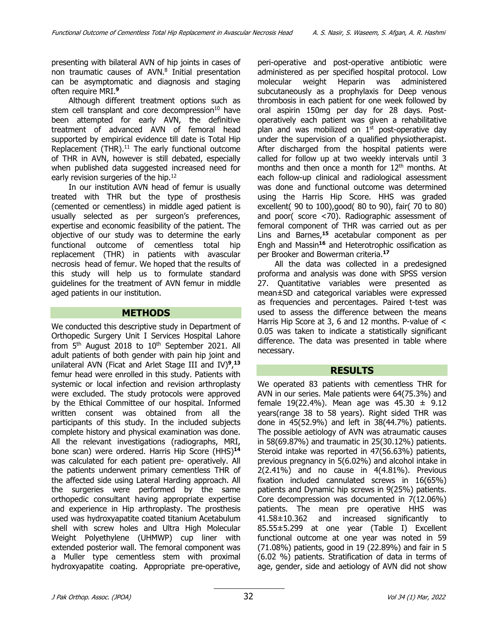presenting with bilateral AVN of hip joints in cases of non traumatic causes of AVN. <sup>8</sup> Initial presentation can be asymptomatic and diagnosis and staging often require MRI.**<sup>9</sup>**

Although different treatment options such as stem cell transplant and core decompression $10$  have been attempted for early AVN, the definitive treatment of advanced AVN of femoral head supported by empirical evidence till date is Total Hip Replacement  $(THR).<sup>11</sup>$  The early functional outcome of THR in AVN, however is still debated, especially when published data suggested increased need for early revision surgeries of the hip.<sup>12</sup>

In our institution AVN head of femur is usually treated with THR but the type of prosthesis (cemented or cementless) in middle aged patient is usually selected as per surgeon's preferences, expertise and economic feasibility of the patient. The objective of our study was to determine the early functional outcome of cementless total hip replacement (THR) in patients with avascular necrosis head of femur. We hoped that the results of this study will help us to formulate standard guidelines for the treatment of AVN femur in middle aged patients in our institution.

#### **METHODS**

We conducted this descriptive study in Department of Orthopedic Surgery Unit I Services Hospital Lahore from  $5<sup>th</sup>$  August 2018 to  $10<sup>th</sup>$  September 2021. All adult patients of both gender with pain hip joint and unilateral AVN (Ficat and Arlet Stage III and IV)**<sup>9</sup>**, **13** femur head were enrolled in this study. Patients with systemic or local infection and revision arthroplasty were excluded. The study protocols were approved by the Ethical Committee of our hospital. Informed written consent was obtained from all the participants of this study. In the included subjects complete history and physical examination was done. All the relevant investigations (radiographs, MRI, bone scan) were ordered. Harris Hip Score (HHS)**<sup>14</sup>** was calculated for each patient pre- operatively. All the patients underwent primary cementless THR of the affected side using Lateral Harding approach. All the surgeries were performed by the same orthopedic consultant having appropriate expertise and experience in Hip arthroplasty. The prosthesis used was hydroxyapatite coated titanium Acetabulum shell with screw holes and Ultra High Molecular Weight Polyethylene (UHMWP) cup liner with extended posterior wall. The femoral component was a Muller type cementless stem with proximal hydroxyapatite coating. Appropriate pre-operative,

peri-operative and post-operative antibiotic were administered as per specified hospital protocol. Low molecular weight Heparin was administered subcutaneously as a prophylaxis for Deep venous thrombosis in each patient for one week followed by oral aspirin 150mg per day for 28 days. Postoperatively each patient was given a rehabilitative plan and was mobilized on  $1<sup>st</sup>$  post-operative day under the supervision of a qualified physiotherapist. After discharged from the hospital patients were called for follow up at two weekly intervals until 3 months and then once a month for 12<sup>th</sup> months. At each follow-up clinical and radiological assessment was done and functional outcome was determined using the Harris Hip Score. HHS was graded excellent( 90 to 100),good( 80 to 90), fair( 70 to 80) and poor( score <70). Radiographic assessment of femoral component of THR was carried out as per Lins and Barnes,**<sup>15</sup>** acetabular component as per Engh and Massin**<sup>16</sup>** and Heterotrophic ossification as per Brooker and Bowerman criteria.**<sup>17</sup>**

All the data was collected in a predesigned proforma and analysis was done with SPSS version 27. Quantitative variables were presented as mean±SD and categorical variables were expressed as frequencies and percentages. Paired t-test was used to assess the difference between the means Harris Hip Score at 3, 6 and 12 months. P-value of < 0.05 was taken to indicate a statistically significant difference. The data was presented in table where necessary.

# **RESULTS**

We operated 83 patients with cementless THR for AVN in our series. Male patients were 64(75.3%) and female 19(22.4%). Mean age was  $45.30 \pm 9.12$ years(range 38 to 58 years). Right sided THR was done in 45(52.9%) and left in 38(44.7%) patients. The possible aetiology of AVN was atraumatic causes in 58(69.87%) and traumatic in 25(30.12%) patients. Steroid intake was reported in 47(56.63%) patients, previous pregnancy in 5(6.02%) and alcohol intake in 2(2.41%) and no cause in 4(4.81%). Previous fixation included cannulated screws in 16(65%) patients and Dynamic hip screws in 9(25%) patients. Core decompression was documented in 7(12.06%) patients. The mean pre operative HHS was 41.58±10.362 and increased significantly to 85.55±5.299 at one year (Table I) Excellent functional outcome at one year was noted in 59 (71.08%) patients, good in 19 (22.89%) and fair in 5 (6.02 %) patients. Stratification of data in terms of age, gender, side and aetiology of AVN did not show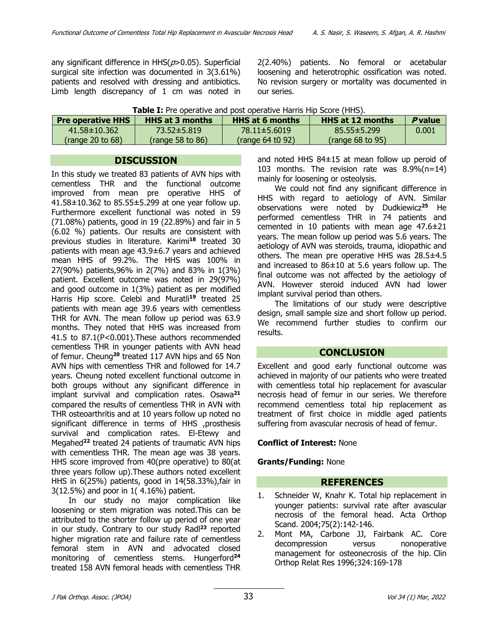any significant difference in  $HHS(p>0.05)$ . Superficial surgical site infection was documented in 3(3.61%) patients and resolved with dressing and antibiotics. Limb length discrepancy of 1 cm was noted in 2(2.40%) patients. No femoral or acetabular loosening and heterotrophic ossification was noted. No revision surgery or mortality was documented in our series.

| <b>Table I:</b> Pre operative and post operative Harris Hip Score (HHS). |  |
|--------------------------------------------------------------------------|--|
|                                                                          |  |

| <b>Pre operative HHS</b> | <b>HHS at 3 months</b> | <b>HHS at 6 months</b> | <b>HHS at 12 months</b> | <i><b>P</b>value</i> |
|--------------------------|------------------------|------------------------|-------------------------|----------------------|
| $41.58 \pm 10.362$       | 73.52±5.819            | 78.11±5.6019           | $85.55 \pm 5.299$       | 0.001                |
| (range 20 to $68$ )      | $($ range 58 to 86 $)$ | $($ range 64 t0 92)    | $($ range 68 to 95 $)$  |                      |

#### **DISCUSSION**

In this study we treated 83 patients of AVN hips with cementless THR and the functional outcome improved from mean pre operative HHS of 41.58 $\pm$ 10.362 to 85.55 $\pm$ 5.299 at one year follow up. Furthermore excellent functional was noted in 59 (71.08%) patients, good in 19 (22.89%) and fair in 5 (6.02 %) patients. Our results are consistent with previous studies in literature. Karimi**<sup>18</sup>** treated 30 patients with mean age 43.9±6.7 years and achieved mean HHS of 99.2%. The HHS was 100% in 27(90%) patients,96% in 2(7%) and 83% in 1(3%) patient. Excellent outcome was noted in 29(97%) and good outcome in 1(3%) patient as per modified Harris Hip score. Celebi and Muratli**<sup>19</sup>** treated 25 patients with mean age 39.6 years with cementless THR for AVN. The mean follow up period was 63.9 months. They noted that HHS was increased from 41.5 to 87.1(P<0.001).These authors recommended cementless THR in younger patients with AVN head of femur. Cheung**<sup>20</sup>** treated 117 AVN hips and 65 Non AVN hips with cementless THR and followed for 14.7 years. Cheung noted excellent functional outcome in both groups without any significant difference in implant survival and complication rates. Osawa**<sup>21</sup>** compared the results of cementless THR in AVN with THR osteoarthritis and at 10 years follow up noted no significant difference in terms of HHS ,prosthesis survival and complication rates. El-Etewy and Megahed**<sup>22</sup>** treated 24 patients of traumatic AVN hips with cementless THR. The mean age was 38 years. HHS score improved from 40(pre operative) to 80(at three years follow up).These authors noted excellent HHS in 6(25%) patients, good in 14(58.33%),fair in 3(12.5%) and poor in 1( 4.16%) patient.

In our study no major complication like loosening or stem migration was noted.This can be attributed to the shorter follow up period of one year in our study. Contrary to our study Radl**<sup>23</sup>** reported higher migration rate and failure rate of cementless femoral stem in AVN and advocated closed monitoring of cementless stems. Hungerford**<sup>24</sup>** treated 158 AVN femoral heads with cementless THR

and noted HHS 84±15 at mean follow up peroid of 103 months. The revision rate was 8.9%(n=14) mainly for loosening or osteolysis.

We could not find any significant difference in HHS with regard to aetiology of AVN. Similar observations were noted by Dudkiewicz**<sup>25</sup>** He performed cementless THR in 74 patients and cemented in 10 patients with mean age 47.6±21 years. The mean follow up period was 5.6 years. The aetiology of AVN was steroids, trauma, idiopathic and others. The mean pre operative HHS was 28.5±4.5 and increased to  $86\pm10$  at 5.6 years follow up. The final outcome was not affected by the aetiology of AVN. However steroid induced AVN had lower implant survival period than others.

The limitations of our study were descriptive design, small sample size and short follow up period. We recommend further studies to confirm our results.

# **CONCLUSION**

Excellent and good early functional outcome was achieved in majority of our patients who were treated with cementless total hip replacement for avascular necrosis head of femur in our series. We therefore recommend cementless total hip replacement as treatment of first choice in middle aged patients suffering from avascular necrosis of head of femur.

#### **Conflict of Interest:** None

# **Grants/Funding:** None

# **REFERENCES**

- 1. Schneider W, Knahr K. Total hip replacement in younger patients: survival rate after avascular necrosis of the femoral head. Acta Orthop Scand. 2004;75(2):142-146.
- 2. Mont MA, Carbone JJ, Fairbank AC. Core decompression versus nonoperative management for osteonecrosis of the hip. Clin Orthop Relat Res 1996;324:169-178